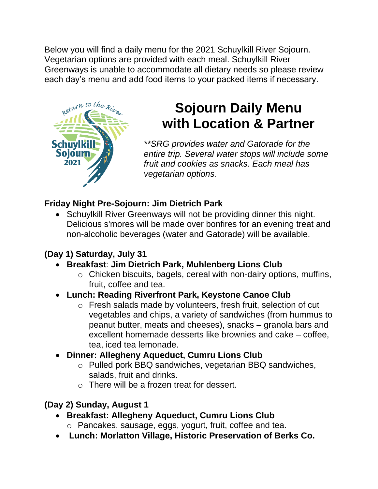Below you will find a daily menu for the 2021 Schuylkill River Sojourn. Vegetarian options are provided with each meal. Schuylkill River Greenways is unable to accommodate all dietary needs so please review each day's menu and add food items to your packed items if necessary.



# **Sojourn Daily Menu with Location & Partner**

*\*\*SRG provides water and Gatorade for the entire trip. Several water stops will include some fruit and cookies as snacks. Each meal has vegetarian options.* 

### **Friday Night Pre-Sojourn: Jim Dietrich Park**

• Schuylkill River Greenways will not be providing dinner this night. Delicious s'mores will be made over bonfires for an evening treat and non-alcoholic beverages (water and Gatorade) will be available.

# **(Day 1) Saturday, July 31**

- **Breakfast**: **Jim Dietrich Park, Muhlenberg Lions Club**
	- o Chicken biscuits, bagels, cereal with non-dairy options, muffins, fruit, coffee and tea.

### • **Lunch: Reading Riverfront Park, Keystone Canoe Club**

o Fresh salads made by volunteers, fresh fruit, selection of cut vegetables and chips, a variety of sandwiches (from hummus to peanut butter, meats and cheeses), snacks – granola bars and excellent homemade desserts like brownies and cake – coffee, tea, iced tea lemonade.

### • **Dinner: Allegheny Aqueduct, Cumru Lions Club**

- o Pulled pork BBQ sandwiches, vegetarian BBQ sandwiches, salads, fruit and drinks.
- o There will be a frozen treat for dessert.

# **(Day 2) Sunday, August 1**

- **Breakfast: Allegheny Aqueduct, Cumru Lions Club**
	- o Pancakes, sausage, eggs, yogurt, fruit, coffee and tea.
- **Lunch: Morlatton Village, Historic Preservation of Berks Co.**